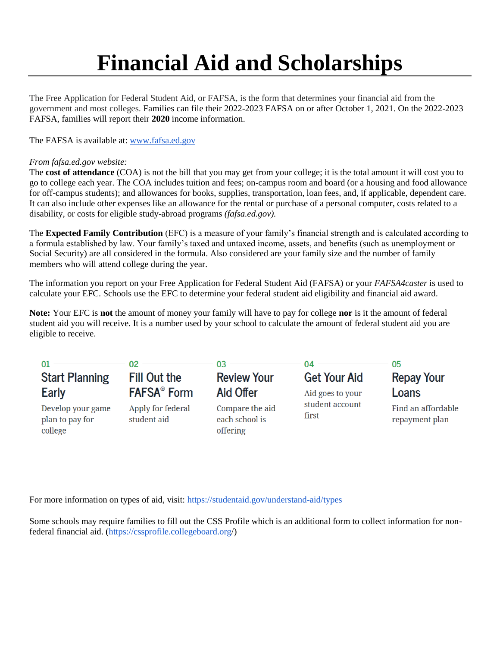# **Financial Aid and Scholarships**

The Free Application for Federal Student Aid, or FAFSA, is the form that determines your financial aid from the government and most colleges. Families can file their 2022-2023 FAFSA on or after October 1, 2021. On the 2022-2023 FAFSA, families will report their **2020** income information.

The FAFSA is available at: [www.fafsa.ed.gov](http://www.fafsa.ed.gov/)

### *From fafsa.ed.gov website:*

The **cost of attendance** (COA) is not the bill that you may get from your college; it is the total amount it will cost you to go to college each year. The COA includes tuition and fees; on-campus room and board (or a housing and food allowance for off-campus students); and allowances for books, supplies, transportation, loan fees, and, if applicable, dependent care. It can also include other expenses like an allowance for the rental or purchase of a personal computer, costs related to a disability, or costs for eligible study-abroad programs *(fafsa.ed.gov).*

The **Expected Family Contribution** (EFC) is a measure of your family's financial strength and is calculated according to a formula established by law. Your family's taxed and untaxed income, assets, and benefits (such as unemployment or Social Security) are all considered in the formula. Also considered are your family size and the number of family members who will attend college during the year.

The information you report on your Free Application for Federal Student Aid (FAFSA) or your *FAFSA4caster* is used to calculate your EFC. Schools use the EFC to determine your federal student aid eligibility and financial aid award.

**Note:** Your EFC is **not** the amount of money your family will have to pay for college **nor** is it the amount of federal student aid you will receive. It is a number used by your school to calculate the amount of federal student aid you are eligible to receive.

| 01<br><b>Start Planning</b>                     | 02 <sup>1</sup><br><b>Fill Out the</b> | 03<br><b>Review Your</b>                      | 04<br><b>Get Your Aid</b> | 05<br><b>Repay Your</b>              |
|-------------------------------------------------|----------------------------------------|-----------------------------------------------|---------------------------|--------------------------------------|
| <b>Early</b>                                    | <b>FAFSA<sup>®</sup></b> Form          | Aid Offer                                     | Aid goes to your          | Loans                                |
| Develop your game<br>plan to pay for<br>college | Apply for federal<br>student aid       | Compare the aid<br>each school is<br>offering | student account<br>first  | Find an affordable<br>repayment plan |

For more information on types of aid, visit:<https://studentaid.gov/understand-aid/types>

Some schools may require families to fill out the CSS Profile which is an additional form to collect information for nonfederal financial aid. [\(https://cssprofile.collegeboard.org/](https://cssprofile.collegeboard.org/))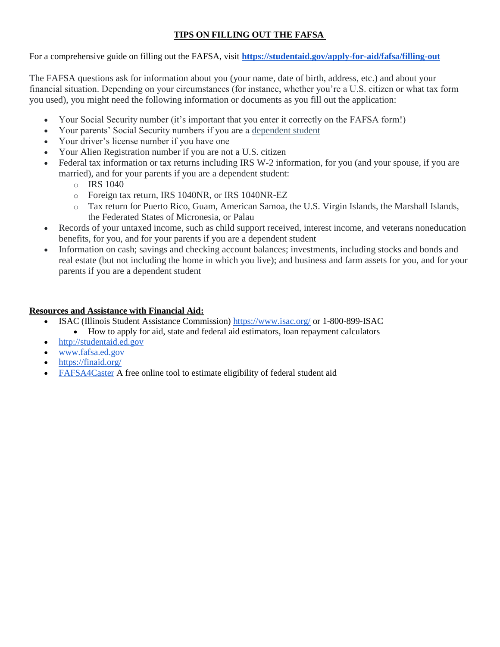### **TIPS ON FILLING OUT THE FAFSA**

For a comprehensive guide on filling out the FAFSA, visit **<https://studentaid.gov/apply-for-aid/fafsa/filling-out>**

The FAFSA questions ask for information about you (your name, date of birth, address, etc.) and about your financial situation. Depending on your circumstances (for instance, whether you're a U.S. citizen or what tax form you used), you might need the following information or documents as you fill out the application:

- Your Social Security number (it's important that you enter it correctly on the FAFSA form!)
- Your parents' Social Security numbers if you are a [dependent student](https://studentaid.gov/#dependency)
- Your driver's license number if you have one
- Your Alien Registration number if you are not a U.S. citizen
- Federal tax information or tax returns including IRS W-2 information, for you (and your spouse, if you are married), and for your parents if you are a dependent student:
	- o IRS 1040
	- o Foreign tax return, IRS 1040NR, or IRS 1040NR-EZ
	- o Tax return for Puerto Rico, Guam, American Samoa, the U.S. Virgin Islands, the Marshall Islands, the Federated States of Micronesia, or Palau
- Records of your untaxed income, such as child support received, interest income, and veterans noneducation benefits, for you, and for your parents if you are a dependent student
- Information on cash; savings and checking account balances; investments, including stocks and bonds and real estate (but not including the home in which you live); and business and farm assets for you, and for your parents if you are a dependent student

#### **Resources and Assistance with Financial Aid:**

- ISAC (Illinois Student Assistance Commission)<https://www.isac.org/> or 1-800-899-ISAC
	- How to apply for aid, state and federal aid estimators, loan repayment calculators
- [http://studentaid.ed.gov](http://studentaid.ed.gov/)
- [www.fafsa.ed.gov](http://www.fafsa.ed.gov/)
- <https://finaid.org/>
- [FAFSA4Caster](https://fafsa.ed.gov/spa/fafsa4c/?_ga=2.89163931.1403059316.1598884187-57058627.1598458086#/landing-) A free online tool to estimate eligibility of federal student aid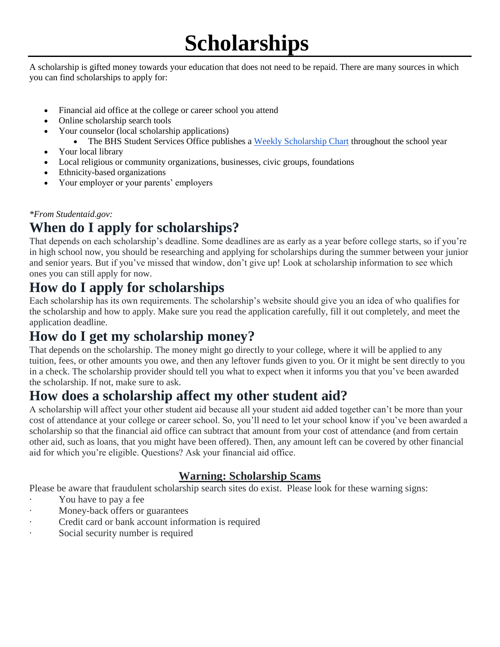# **Scholarships**

A scholarship is gifted money towards your education that does not need to be repaid. There are many sources in which you can find scholarships to apply for:

- Financial aid office at the college or career school you attend
- Online scholarship search tools
- Your counselor (local scholarship applications)
	- The BHS Student Services Office publishes a [Weekly Scholarship Chart](https://www.u-46.org/Page/12307) throughout the school year
- Your local library
- Local religious or community organizations, businesses, civic groups, foundations
- Ethnicity-based organizations
- Your employer or your parents' employers

### *\*From Studentaid.gov:*

# **When do I apply for scholarships?**

That depends on each scholarship's deadline. Some deadlines are as early as a year before college starts, so if you're in high school now, you should be researching and applying for scholarships during the summer between your junior and senior years. But if you've missed that window, don't give up! Look at scholarship information to see which ones you can still apply for now.

# **How do I apply for scholarships**

Each scholarship has its own requirements. The scholarship's website should give you an idea of who qualifies for the scholarship and how to apply. Make sure you read the application carefully, fill it out completely, and meet the application deadline.

# **How do I get my scholarship money?**

That depends on the scholarship. The money might go directly to your college, where it will be applied to any tuition, fees, or other amounts you owe, and then any leftover funds given to you. Or it might be sent directly to you in a check. The scholarship provider should tell you what to expect when it informs you that you've been awarded the scholarship. If not, make sure to ask.

# **How does a scholarship affect my other student aid?**

A scholarship will affect your other student aid because all your student aid added together can't be more than your cost of attendance at your college or career school. So, you'll need to let your school know if you've been awarded a scholarship so that the financial aid office can subtract that amount from your cost of attendance (and from certain other aid, such as loans, that you might have been offered). Then, any amount left can be covered by other financial aid for which you're eligible. Questions? Ask your financial aid office.

# **Warning: Scholarship Scams**

Please be aware that fraudulent scholarship search sites do exist. Please look for these warning signs:

- You have to pay a fee
- Money-back offers or guarantees
- Credit card or bank account information is required
- Social security number is required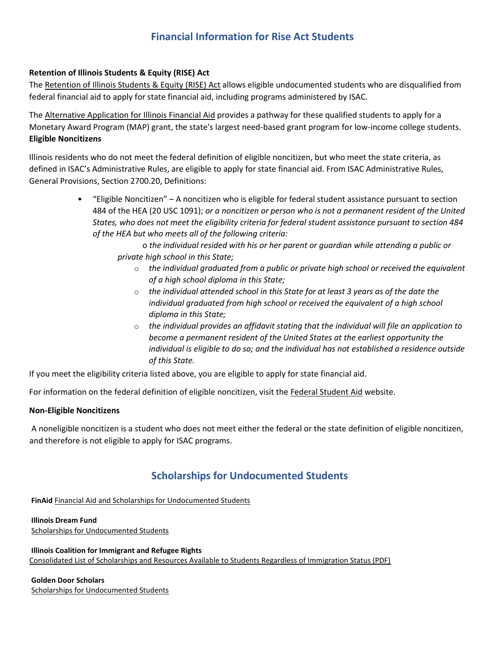## **Financial Information for Rise Act Students**

### **Retention of Illinois Students & Equity (RISE) Act**

The [Retention of Illinois Students & Equity \(RISE\) Act](https://www.isac.org/students/before-college/financial-aid-planning/retention-of-illinois-rise-act/) [a](https://www.isac.org/students/before-college/financial-aid-planning/retention-of-illinois-rise-act/)llows eligible undocumented students who are disqualified from federal financial aid to apply for state financial aid, including programs administered by ISAC.

The [Alternative Application for Illinois Financial Aid](https://www.isac.org/students/before-college/financial-aid-planning/retention-of-illinois-rise-act/#Application) provides a pathway for these qualified students to apply for a Monetary Award Program (MAP) grant, the state's largest need-based grant program for low-income college students. **Eligible Noncitizens**

Illinois residents who do not meet the federal definition of eligible noncitizen, but who meet the state criteria, as defined in ISAC's Administrative Rules, are eligible to apply for state financial aid. From ISAC Administrative Rules, General Provisions, Section 2700.20, Definitions:

> • "Eligible Noncitizen" – A noncitizen who is eligible for federal student assistance pursuant to section 484 of the HEA (20 USC 1091); *or a noncitizen or person who is not a permanent resident of the United States, who does not meet the eligibility criteria for federal student assistance pursuant to section 484 of the HEA but who meets all of the following criteria:*

o *the individual resided with his or her parent or guardian while attending a public or private high school in this State;*

- o *the individual graduated from a public or private high school or received the equivalent of a high school diploma in this State;*
- o *the individual attended school in this State for at least 3 years as of the date the individual graduated from high school or received the equivalent of a high school diploma in this State;*
- o *the individual provides an affidavit stating that the individual will file an application to become a permanent resident of the United States at the earliest opportunity the individual is eligible to do so; and the individual has not established a residence outside of this State.*

If you meet the eligibility criteria listed above, you are eligible to apply for state financial aid.

For information on the federal definition of eligible noncitizen, visit th[e Federal Student Aid](https://studentaid.gov/understand-aid/eligibility/requirements/non-us-citizens) [w](https://studentaid.gov/understand-aid/eligibility/requirements/non-us-citizens)ebsite.

#### **Non-Eligible Noncitizens**

A noneligible noncitizen is a student who does not meet either the federal or the state definition of eligible noncitizen, and therefore is not eligible to apply for ISAC programs.

## **Scholarships for Undocumented Students**

**FinAid** [Financial Aid and Scholarships for Undocumented Students](http://www.finaid.org/otheraid/undocumented.phtml)

### **Illinois Dream Fund**

[Scholarships for Undocumented Students](https://www.ildreamfund.org/)

**Illinois Coalition for Immigrant and Refugee Rights** [Consolidated List of Scholarships and Resources Available to Students Regardless of Immigration Status \(PDF\)](https://www.iacac.org/wp-content/uploads/2011/10/Consolidated-Guide-to-Scholarships-and-Resources-2012.pdf)

**Golden Door Scholars** [Scholarships for Undocumented Students](http://www.goldendoorscholars.org/)